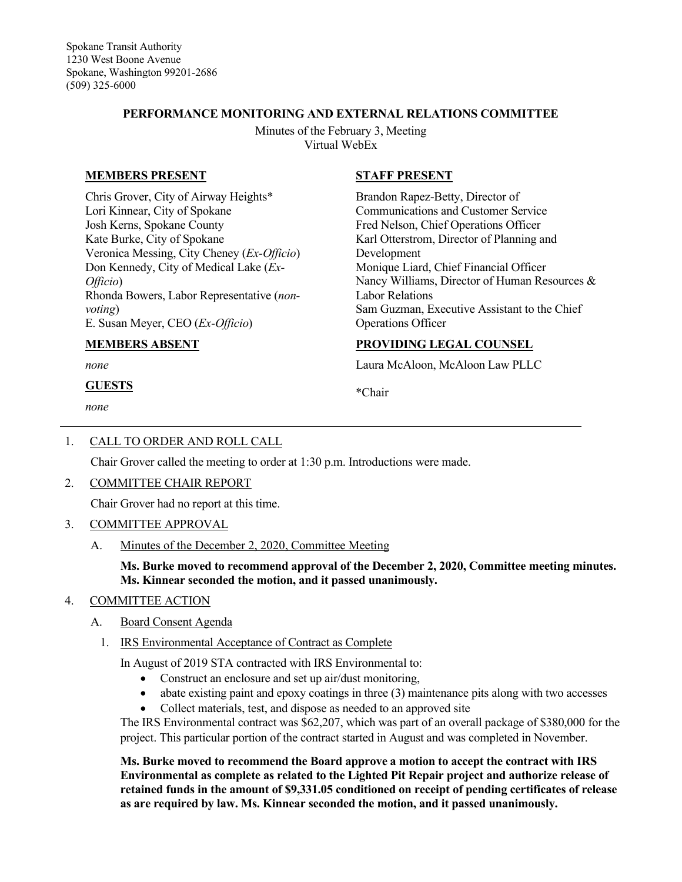### **PERFORMANCE MONITORING AND EXTERNAL RELATIONS COMMITTEE**

Minutes of the February 3, Meeting Virtual WebEx

### **MEMBERS PRESENT**

Chris Grover, City of Airway Heights\* Lori Kinnear, City of Spokane Josh Kerns, Spokane County Kate Burke, City of Spokane Veronica Messing, City Cheney (*Ex-Officio*) Don Kennedy, City of Medical Lake (*Ex-Officio*) Rhonda Bowers, Labor Representative (*nonvoting*) E. Susan Meyer, CEO (*Ex-Officio*)

#### **MEMBERS ABSENT**

*none*

### **GUESTS**

*none*

## **STAFF PRESENT**

Brandon Rapez-Betty, Director of Communications and Customer Service Fred Nelson, Chief Operations Officer Karl Otterstrom, Director of Planning and Development Monique Liard, Chief Financial Officer Nancy Williams, Director of Human Resources & Labor Relations Sam Guzman, Executive Assistant to the Chief Operations Officer

### **PROVIDING LEGAL COUNSEL**

Laura McAloon, McAloon Law PLLC

\*Chair

## 1. CALL TO ORDER AND ROLL CALL

Chair Grover called the meeting to order at 1:30 p.m. Introductions were made.

#### 2. COMMITTEE CHAIR REPORT

Chair Grover had no report at this time.

## 3. COMMITTEE APPROVAL

A. Minutes of the December 2, 2020, Committee Meeting

### **Ms. Burke moved to recommend approval of the December 2, 2020, Committee meeting minutes. Ms. Kinnear seconded the motion, and it passed unanimously.**

## 4. COMMITTEE ACTION

- A. Board Consent Agenda
	- 1. IRS Environmental Acceptance of Contract as Complete

In August of 2019 STA contracted with IRS Environmental to:

- Construct an enclosure and set up air/dust monitoring,
- abate existing paint and epoxy coatings in three (3) maintenance pits along with two accesses
- Collect materials, test, and dispose as needed to an approved site

The IRS Environmental contract was \$62,207, which was part of an overall package of \$380,000 for the project. This particular portion of the contract started in August and was completed in November.

**Ms. Burke moved to recommend the Board approve a motion to accept the contract with IRS Environmental as complete as related to the Lighted Pit Repair project and authorize release of retained funds in the amount of \$9,331.05 conditioned on receipt of pending certificates of release as are required by law. Ms. Kinnear seconded the motion, and it passed unanimously.**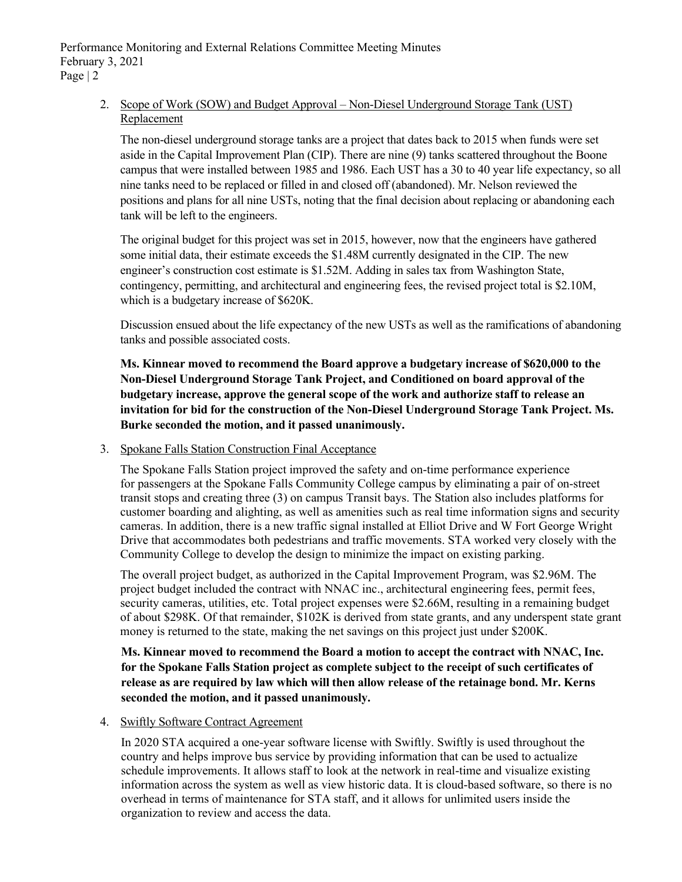# 2. Scope of Work (SOW) and Budget Approval – Non-Diesel Underground Storage Tank (UST) Replacement

The non-diesel underground storage tanks are a project that dates back to 2015 when funds were set aside in the Capital Improvement Plan (CIP). There are nine (9) tanks scattered throughout the Boone campus that were installed between 1985 and 1986. Each UST has a 30 to 40 year life expectancy, so all nine tanks need to be replaced or filled in and closed off (abandoned). Mr. Nelson reviewed the positions and plans for all nine USTs, noting that the final decision about replacing or abandoning each tank will be left to the engineers.

The original budget for this project was set in 2015, however, now that the engineers have gathered some initial data, their estimate exceeds the \$1.48M currently designated in the CIP. The new engineer's construction cost estimate is \$1.52M. Adding in sales tax from Washington State, contingency, permitting, and architectural and engineering fees, the revised project total is \$2.10M, which is a budgetary increase of \$620K.

Discussion ensued about the life expectancy of the new USTs as well as the ramifications of abandoning tanks and possible associated costs.

**Ms. Kinnear moved to recommend the Board approve a budgetary increase of \$620,000 to the Non-Diesel Underground Storage Tank Project, and Conditioned on board approval of the budgetary increase, approve the general scope of the work and authorize staff to release an invitation for bid for the construction of the Non-Diesel Underground Storage Tank Project. Ms. Burke seconded the motion, and it passed unanimously.**

## 3. Spokane Falls Station Construction Final Acceptance

The Spokane Falls Station project improved the safety and on-time performance experience for passengers at the Spokane Falls Community College campus by eliminating a pair of on-street transit stops and creating three (3) on campus Transit bays. The Station also includes platforms for customer boarding and alighting, as well as amenities such as real time information signs and security cameras. In addition, there is a new traffic signal installed at Elliot Drive and W Fort George Wright Drive that accommodates both pedestrians and traffic movements. STA worked very closely with the Community College to develop the design to minimize the impact on existing parking.

The overall project budget, as authorized in the Capital Improvement Program, was \$2.96M. The project budget included the contract with NNAC inc., architectural engineering fees, permit fees, security cameras, utilities, etc. Total project expenses were \$2.66M, resulting in a remaining budget of about \$298K. Of that remainder, \$102K is derived from state grants, and any underspent state grant money is returned to the state, making the net savings on this project just under \$200K.

**Ms. Kinnear moved to recommend the Board a motion to accept the contract with NNAC, Inc. for the Spokane Falls Station project as complete subject to the receipt of such certificates of release as are required by law which will then allow release of the retainage bond. Mr. Kerns seconded the motion, and it passed unanimously.**

#### 4. Swiftly Software Contract Agreement

In 2020 STA acquired a one-year software license with Swiftly. Swiftly is used throughout the country and helps improve bus service by providing information that can be used to actualize schedule improvements. It allows staff to look at the network in real-time and visualize existing information across the system as well as view historic data. It is cloud-based software, so there is no overhead in terms of maintenance for STA staff, and it allows for unlimited users inside the organization to review and access the data.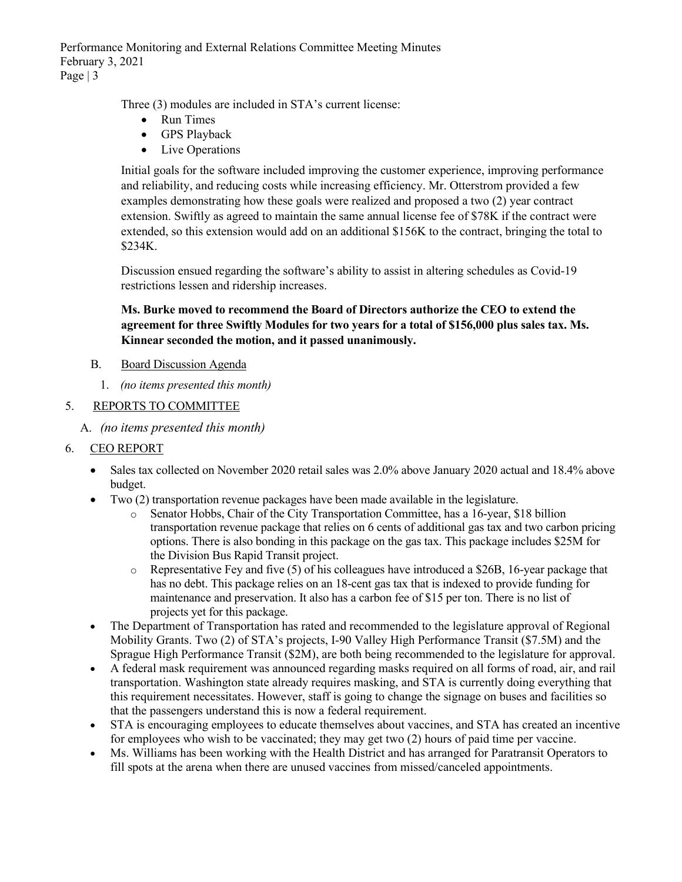Performance Monitoring and External Relations Committee Meeting Minutes February 3, 2021 Page  $|3$ 

Three (3) modules are included in STA's current license:

- Run Times
- GPS Playback
- Live Operations

Initial goals for the software included improving the customer experience, improving performance and reliability, and reducing costs while increasing efficiency. Mr. Otterstrom provided a few examples demonstrating how these goals were realized and proposed a two (2) year contract extension. Swiftly as agreed to maintain the same annual license fee of \$78K if the contract were extended, so this extension would add on an additional \$156K to the contract, bringing the total to \$234K.

Discussion ensued regarding the software's ability to assist in altering schedules as Covid-19 restrictions lessen and ridership increases.

# **Ms. Burke moved to recommend the Board of Directors authorize the CEO to extend the agreement for three Swiftly Modules for two years for a total of \$156,000 plus sales tax. Ms. Kinnear seconded the motion, and it passed unanimously.**

- B. Board Discussion Agenda
	- 1. *(no items presented this month)*

### 5. REPORTS TO COMMITTEE

A. *(no items presented this month)*

## 6. CEO REPORT

- Sales tax collected on November 2020 retail sales was 2.0% above January 2020 actual and 18.4% above budget.
- Two (2) transportation revenue packages have been made available in the legislature.
	- o Senator Hobbs, Chair of the City Transportation Committee, has a 16-year, \$18 billion transportation revenue package that relies on 6 cents of additional gas tax and two carbon pricing options. There is also bonding in this package on the gas tax. This package includes \$25M for the Division Bus Rapid Transit project.
	- $\circ$  Representative Fey and five (5) of his colleagues have introduced a \$26B, 16-year package that has no debt. This package relies on an 18-cent gas tax that is indexed to provide funding for maintenance and preservation. It also has a carbon fee of \$15 per ton. There is no list of projects yet for this package.
- The Department of Transportation has rated and recommended to the legislature approval of Regional Mobility Grants. Two (2) of STA's projects, I-90 Valley High Performance Transit (\$7.5M) and the Sprague High Performance Transit (\$2M), are both being recommended to the legislature for approval.
- A federal mask requirement was announced regarding masks required on all forms of road, air, and rail transportation. Washington state already requires masking, and STA is currently doing everything that this requirement necessitates. However, staff is going to change the signage on buses and facilities so that the passengers understand this is now a federal requirement.
- STA is encouraging employees to educate themselves about vaccines, and STA has created an incentive for employees who wish to be vaccinated; they may get two (2) hours of paid time per vaccine.
- Ms. Williams has been working with the Health District and has arranged for Paratransit Operators to fill spots at the arena when there are unused vaccines from missed/canceled appointments.